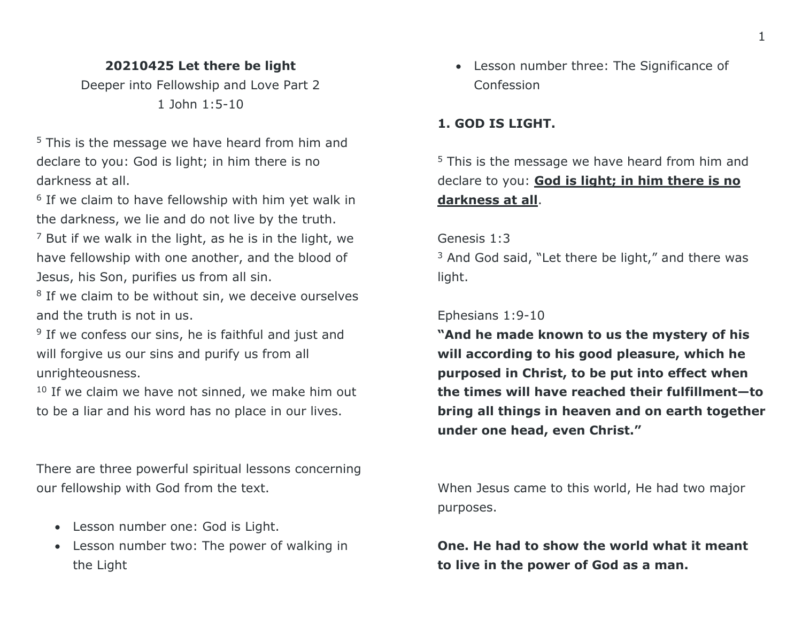## **20210425 Let there be light**

Deeper into Fellowship and Love Part 2 1 John 1:5-10

<sup>5</sup> This is the message we have heard from him and declare to you: God is light; in him there is no darkness at all.

<sup>6</sup> If we claim to have fellowship with him yet walk in the darkness, we lie and do not live by the truth.

 $<sup>7</sup>$  But if we walk in the light, as he is in the light, we</sup> have fellowship with one another, and the blood of Jesus, his Son, purifies us from all sin.

<sup>8</sup> If we claim to be without sin, we deceive ourselves and the truth is not in us.

<sup>9</sup> If we confess our sins, he is faithful and just and will forgive us our sins and purify us from all unrighteousness.

 $10$  If we claim we have not sinned, we make him out to be a liar and his word has no place in our lives.

There are three powerful spiritual lessons concerning our fellowship with God from the text.

- Lesson number one: God is Light.
- Lesson number two: The power of walking in the Light

• Lesson number three: The Significance of Confession

## **1. GOD IS LIGHT.**

<sup>5</sup> This is the message we have heard from him and declare to you: **God is light; in him there is no darkness at all**.

Genesis 1:3

<sup>3</sup> And God said, "Let there be light," and there was light.

Ephesians 1:9-10

**"And he made known to us the mystery of his will according to his good pleasure, which he purposed in Christ, to be put into effect when the times will have reached their fulfillment—to bring all things in heaven and on earth together under one head, even Christ."**

When Jesus came to this world, He had two major purposes.

**One. He had to show the world what it meant to live in the power of God as a man.**